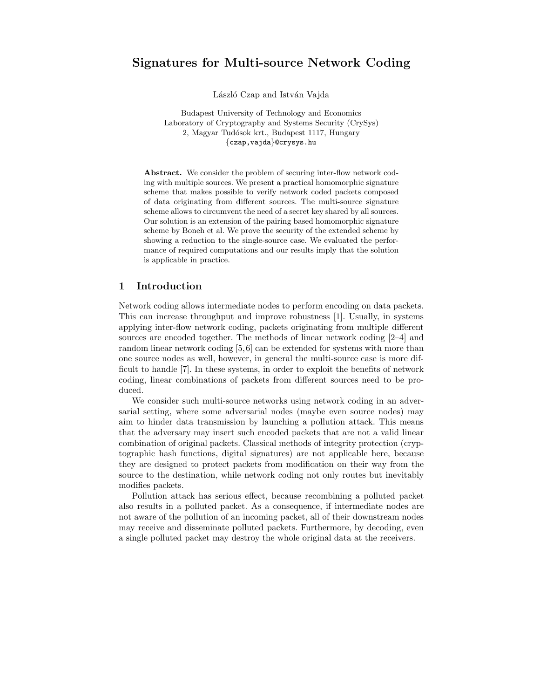# Signatures for Multi-source Network Coding

László Czap and István Vajda

Budapest University of Technology and Economics Laboratory of Cryptography and Systems Security (CrySys) 2, Magyar Tudósok krt., Budapest 1117, Hungary {czap,vajda}@crysys.hu

Abstract. We consider the problem of securing inter-flow network coding with multiple sources. We present a practical homomorphic signature scheme that makes possible to verify network coded packets composed of data originating from different sources. The multi-source signature scheme allows to circumvent the need of a secret key shared by all sources. Our solution is an extension of the pairing based homomorphic signature scheme by Boneh et al. We prove the security of the extended scheme by showing a reduction to the single-source case. We evaluated the performance of required computations and our results imply that the solution is applicable in practice.

# 1 Introduction

Network coding allows intermediate nodes to perform encoding on data packets. This can increase throughput and improve robustness [1]. Usually, in systems applying inter-flow network coding, packets originating from multiple different sources are encoded together. The methods of linear network coding [2–4] and random linear network coding [5,6] can be extended for systems with more than one source nodes as well, however, in general the multi-source case is more difficult to handle [7]. In these systems, in order to exploit the benefits of network coding, linear combinations of packets from different sources need to be produced.

We consider such multi-source networks using network coding in an adversarial setting, where some adversarial nodes (maybe even source nodes) may aim to hinder data transmission by launching a pollution attack. This means that the adversary may insert such encoded packets that are not a valid linear combination of original packets. Classical methods of integrity protection (cryptographic hash functions, digital signatures) are not applicable here, because they are designed to protect packets from modification on their way from the source to the destination, while network coding not only routes but inevitably modifies packets.

Pollution attack has serious effect, because recombining a polluted packet also results in a polluted packet. As a consequence, if intermediate nodes are not aware of the pollution of an incoming packet, all of their downstream nodes may receive and disseminate polluted packets. Furthermore, by decoding, even a single polluted packet may destroy the whole original data at the receivers.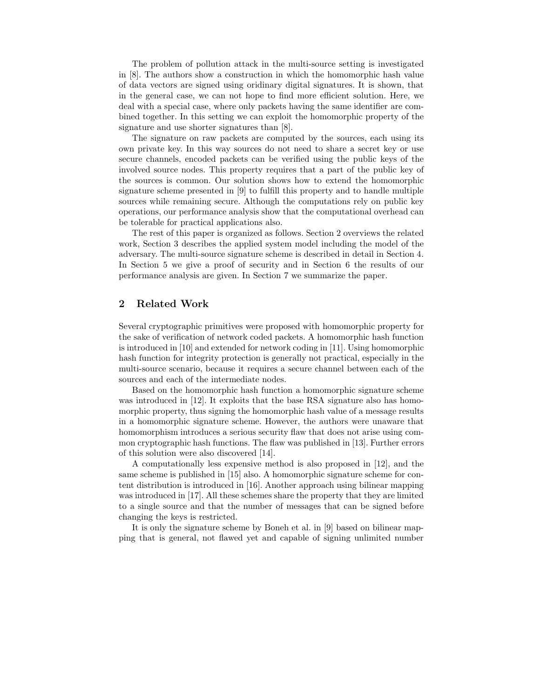The problem of pollution attack in the multi-source setting is investigated in [8]. The authors show a construction in which the homomorphic hash value of data vectors are signed using oridinary digital signatures. It is shown, that in the general case, we can not hope to find more efficient solution. Here, we deal with a special case, where only packets having the same identifier are combined together. In this setting we can exploit the homomorphic property of the signature and use shorter signatures than [8].

The signature on raw packets are computed by the sources, each using its own private key. In this way sources do not need to share a secret key or use secure channels, encoded packets can be verified using the public keys of the involved source nodes. This property requires that a part of the public key of the sources is common. Our solution shows how to extend the homomorphic signature scheme presented in [9] to fulfill this property and to handle multiple sources while remaining secure. Although the computations rely on public key operations, our performance analysis show that the computational overhead can be tolerable for practical applications also.

The rest of this paper is organized as follows. Section 2 overviews the related work, Section 3 describes the applied system model including the model of the adversary. The multi-source signature scheme is described in detail in Section 4. In Section 5 we give a proof of security and in Section 6 the results of our performance analysis are given. In Section 7 we summarize the paper.

# 2 Related Work

Several cryptographic primitives were proposed with homomorphic property for the sake of verification of network coded packets. A homomorphic hash function is introduced in [10] and extended for network coding in [11]. Using homomorphic hash function for integrity protection is generally not practical, especially in the multi-source scenario, because it requires a secure channel between each of the sources and each of the intermediate nodes.

Based on the homomorphic hash function a homomorphic signature scheme was introduced in [12]. It exploits that the base RSA signature also has homomorphic property, thus signing the homomorphic hash value of a message results in a homomorphic signature scheme. However, the authors were unaware that homomorphism introduces a serious security flaw that does not arise using common cryptographic hash functions. The flaw was published in [13]. Further errors of this solution were also discovered [14].

A computationally less expensive method is also proposed in [12], and the same scheme is published in [15] also. A homomorphic signature scheme for content distribution is introduced in [16]. Another approach using bilinear mapping was introduced in [17]. All these schemes share the property that they are limited to a single source and that the number of messages that can be signed before changing the keys is restricted.

It is only the signature scheme by Boneh et al. in [9] based on bilinear mapping that is general, not flawed yet and capable of signing unlimited number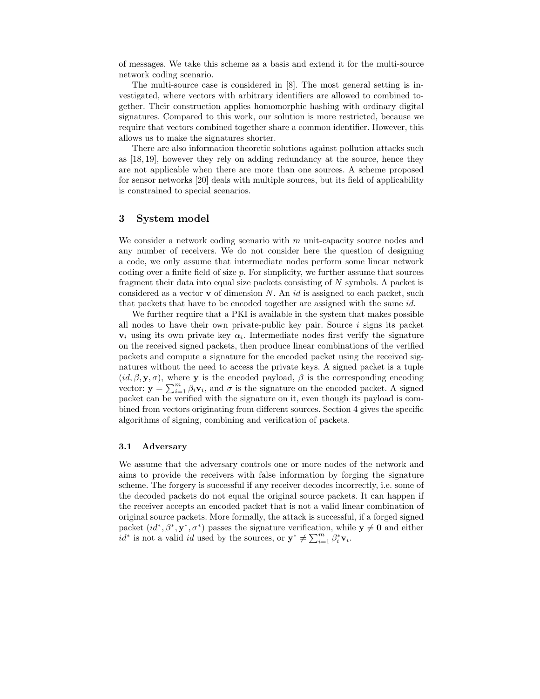of messages. We take this scheme as a basis and extend it for the multi-source network coding scenario.

The multi-source case is considered in [8]. The most general setting is investigated, where vectors with arbitrary identifiers are allowed to combined together. Their construction applies homomorphic hashing with ordinary digital signatures. Compared to this work, our solution is more restricted, because we require that vectors combined together share a common identifier. However, this allows us to make the signatures shorter.

There are also information theoretic solutions against pollution attacks such as [18, 19], however they rely on adding redundancy at the source, hence they are not applicable when there are more than one sources. A scheme proposed for sensor networks [20] deals with multiple sources, but its field of applicability is constrained to special scenarios.

# 3 System model

We consider a network coding scenario with  $m$  unit-capacity source nodes and any number of receivers. We do not consider here the question of designing a code, we only assume that intermediate nodes perform some linear network coding over a finite field of size  $p$ . For simplicity, we further assume that sources fragment their data into equal size packets consisting of N symbols. A packet is considered as a vector **v** of dimension N. An *id* is assigned to each packet, such that packets that have to be encoded together are assigned with the same  $id$ .

We further require that a PKI is available in the system that makes possible all nodes to have their own private-public key pair. Source  $i$  signs its packet  $v_i$  using its own private key  $\alpha_i$ . Intermediate nodes first verify the signature on the received signed packets, then produce linear combinations of the verified packets and compute a signature for the encoded packet using the received signatures without the need to access the private keys. A signed packet is a tuple  $(id, \beta, \mathbf{y}, \sigma)$ , where **y** is the encoded payload,  $\beta$  is the corresponding encoding vector:  $\mathbf{y} = \sum_{i=1}^{m} \beta_i \mathbf{v}_i$ , and  $\sigma$  is the signature on the encoded packet. A signed packet can be verified with the signature on it, even though its payload is combined from vectors originating from different sources. Section 4 gives the specific algorithms of signing, combining and verification of packets.

#### 3.1 Adversary

We assume that the adversary controls one or more nodes of the network and aims to provide the receivers with false information by forging the signature scheme. The forgery is successful if any receiver decodes incorrectly, i.e. some of the decoded packets do not equal the original source packets. It can happen if the receiver accepts an encoded packet that is not a valid linear combination of original source packets. More formally, the attack is successful, if a forged signed packet  $(id^*, \beta^*, \mathbf{y}^*, \sigma^*)$  passes the signature verification, while  $\mathbf{y} \neq \mathbf{0}$  and either  $id^*$  is not a valid id used by the sources, or  $\mathbf{y}^* \neq \sum_{i=1}^m \beta_i^* \mathbf{v}_i$ .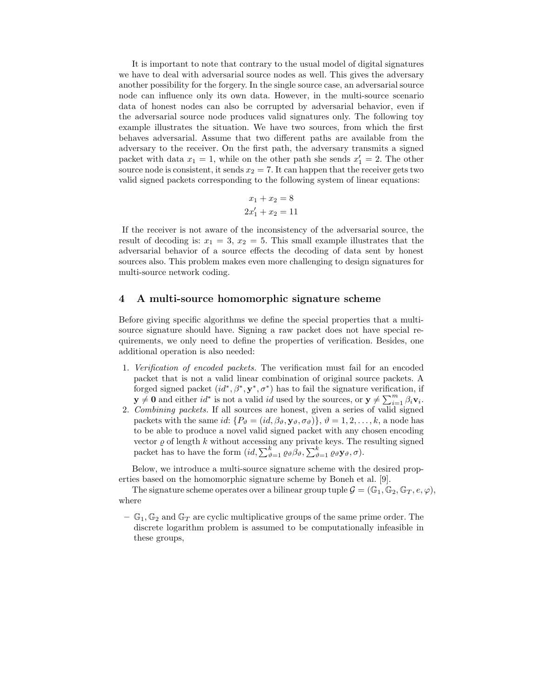It is important to note that contrary to the usual model of digital signatures we have to deal with adversarial source nodes as well. This gives the adversary another possibility for the forgery. In the single source case, an adversarial source node can influence only its own data. However, in the multi-source scenario data of honest nodes can also be corrupted by adversarial behavior, even if the adversarial source node produces valid signatures only. The following toy example illustrates the situation. We have two sources, from which the first behaves adversarial. Assume that two different paths are available from the adversary to the receiver. On the first path, the adversary transmits a signed packet with data  $x_1 = 1$ , while on the other path she sends  $x'_1 = 2$ . The other source node is consistent, it sends  $x_2 = 7$ . It can happen that the receiver gets two valid signed packets corresponding to the following system of linear equations:

$$
x_1 + x_2 = 8
$$
  

$$
2x'_1 + x_2 = 11
$$

If the receiver is not aware of the inconsistency of the adversarial source, the result of decoding is:  $x_1 = 3$ ,  $x_2 = 5$ . This small example illustrates that the adversarial behavior of a source effects the decoding of data sent by honest sources also. This problem makes even more challenging to design signatures for multi-source network coding.

#### 4 A multi-source homomorphic signature scheme

Before giving specific algorithms we define the special properties that a multisource signature should have. Signing a raw packet does not have special requirements, we only need to define the properties of verification. Besides, one additional operation is also needed:

- 1. Verification of encoded packets. The verification must fail for an encoded packet that is not a valid linear combination of original source packets. A forged signed packet  $(id^*, \beta^*, \mathbf{y}^*, \sigma^*)$  has to fail the signature verification, if  $\mathbf{y} \neq \mathbf{0}$  and either  $id^*$  is not a valid id used by the sources, or  $\mathbf{y} \neq \sum_{i=1}^m \beta_i \mathbf{v}_i$ .
- 2. Combining packets. If all sources are honest, given a series of valid signed packets with the same id:  $\{P_{\vartheta} = (id, \beta_{\vartheta}, \mathbf{y}_{\vartheta}, \sigma_{\vartheta})\}, \vartheta = 1, 2, \ldots, k$ , a node has to be able to produce a novel valid signed packet with any chosen encoding vector  $\varrho$  of length k without accessing any private keys. The resulting signed packet has to have the form  $(id, \sum_{\vartheta=1}^k \varrho_{\vartheta} \beta_{\vartheta}, \sum_{\vartheta=1}^k \varrho_{\vartheta} \mathbf{y}_{\vartheta}, \sigma).$

Below, we introduce a multi-source signature scheme with the desired properties based on the homomorphic signature scheme by Boneh et al. [9].

The signature scheme operates over a bilinear group tuple  $\mathcal{G} = (\mathbb{G}_1, \mathbb{G}_2, \mathbb{G}_T, e, \varphi)$ , where

 $-\mathbb{G}_1, \mathbb{G}_2$  and  $\mathbb{G}_T$  are cyclic multiplicative groups of the same prime order. The discrete logarithm problem is assumed to be computationally infeasible in these groups,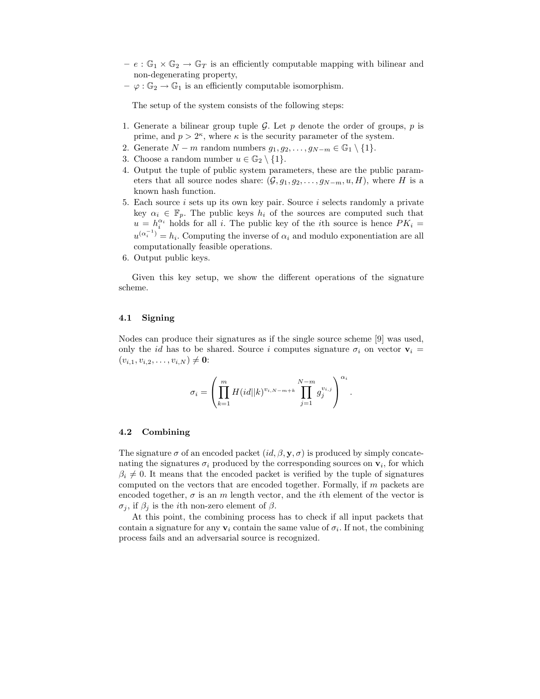- $e : \mathbb{G}_1 \times \mathbb{G}_2 \to \mathbb{G}_T$  is an efficiently computable mapping with bilinear and non-degenerating property,
- $-\varphi : \mathbb{G}_2 \to \mathbb{G}_1$  is an efficiently computable isomorphism.

The setup of the system consists of the following steps:

- 1. Generate a bilinear group tuple G. Let p denote the order of groups, p is prime, and  $p > 2^{\kappa}$ , where  $\kappa$  is the security parameter of the system.
- 2. Generate  $N m$  random numbers  $g_1, g_2, \ldots, g_{N-m} \in \mathbb{G}_1 \setminus \{1\}.$
- 3. Choose a random number  $u \in \mathbb{G}_2 \setminus \{1\}.$
- 4. Output the tuple of public system parameters, these are the public parameters that all source nodes share:  $(\mathcal{G}, q_1, q_2, \ldots, q_{N-m}, u, H)$ , where H is a known hash function.
- 5. Each source  $i$  sets up its own key pair. Source  $i$  selects randomly a private key  $\alpha_i \in \mathbb{F}_p$ . The public keys  $h_i$  of the sources are computed such that  $u = h_i^{\alpha_i}$  holds for all i. The public key of the ith source is hence  $PK_i =$  $u^{(\alpha_i^{-1})} = h_i$ . Computing the inverse of  $\alpha_i$  and modulo exponentiation are all computationally feasible operations.
- 6. Output public keys.

Given this key setup, we show the different operations of the signature scheme.

### 4.1 Signing

Nodes can produce their signatures as if the single source scheme [9] was used, only the id has to be shared. Source i computes signature  $\sigma_i$  on vector  $\mathbf{v}_i$  =  $(v_{i,1}, v_{i,2}, \ldots, v_{i,N}) \neq \mathbf{0}$ :

$$
\sigma_i = \left( \prod_{k=1}^m H(id||k)^{v_{i,N-m+k}} \prod_{j=1}^{N-m} g_j^{v_{i,j}} \right)^{\alpha_i}.
$$

#### 4.2 Combining

The signature  $\sigma$  of an encoded packet  $(id, \beta, \mathbf{y}, \sigma)$  is produced by simply concatenating the signatures  $\sigma_i$  produced by the corresponding sources on  $\mathbf{v}_i$ , for which  $\beta_i \neq 0$ . It means that the encoded packet is verified by the tuple of signatures computed on the vectors that are encoded together. Formally, if m packets are encoded together,  $\sigma$  is an m length vector, and the *i*th element of the vector is  $\sigma_i$ , if  $\beta_i$  is the *i*th non-zero element of  $\beta$ .

At this point, the combining process has to check if all input packets that contain a signature for any  $v_i$  contain the same value of  $\sigma_i$ . If not, the combining process fails and an adversarial source is recognized.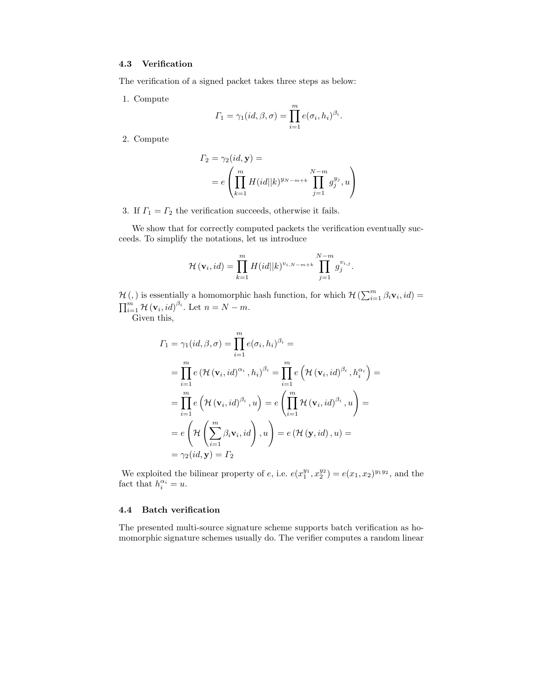## 4.3 Verification

The verification of a signed packet takes three steps as below:

1. Compute

$$
\Gamma_1 = \gamma_1(id, \beta, \sigma) = \prod_{i=1}^m e(\sigma_i, h_i)^{\beta_i}.
$$

2. Compute

$$
\Gamma_2 = \gamma_2(id, \mathbf{y}) =
$$
  
=  $e \left( \prod_{k=1}^m H(id||k)^{y_{N-m+k}} \prod_{j=1}^{N-m} g_j^{y_j}, u \right)$ 

3. If  $\Gamma_1 = \Gamma_2$  the verification succeeds, otherwise it fails.

We show that for correctly computed packets the verification eventually succeeds. To simplify the notations, let us introduce

$$
\mathcal{H}(\mathbf{v}_i, id) = \prod_{k=1}^m H(id||k)^{v_{i,N-m+k}} \prod_{j=1}^{N-m} g_j^{v_{i,j}}.
$$

 $\mathcal{H}(, )$  is essentially a homomorphic hash function, for which  $\mathcal{H} \left( \sum_{i=1}^{m} \beta_i \mathbf{v}_i, id \right) =$  $\prod_{i=1}^m \mathcal{H}(\mathbf{v}_i, id)^{\beta_i}$ . Let  $n = N - m$ .

Given this,

$$
I_1 = \gamma_1(id, \beta, \sigma) = \prod_{i=1}^m e(\sigma_i, h_i)^{\beta_i} =
$$
  
\n
$$
= \prod_{i=1}^m e(\mathcal{H}(\mathbf{v}_i, id)^{\alpha_i}, h_i)^{\beta_i} = \prod_{i=1}^m e(\mathcal{H}(\mathbf{v}_i, id)^{\beta_i}, h_i^{\alpha_i}) =
$$
  
\n
$$
= \prod_{i=1}^m e(\mathcal{H}(\mathbf{v}_i, id)^{\beta_i}, u) = e(\prod_{i=1}^m \mathcal{H}(\mathbf{v}_i, id)^{\beta_i}, u) =
$$
  
\n
$$
= e(\mathcal{H}(\sum_{i=1}^m \beta_i \mathbf{v}_i, id), u) = e(\mathcal{H}(\mathbf{y}, id), u) =
$$
  
\n
$$
= \gamma_2(id, \mathbf{y}) = \Gamma_2
$$

We exploited the bilinear property of e, i.e.  $e(x_1^{y_1}, x_2^{y_2}) = e(x_1, x_2)^{y_1 y_2}$ , and the fact that  $h_i^{\alpha_i} = u$ .

## 4.4 Batch verification

The presented multi-source signature scheme supports batch verification as homomorphic signature schemes usually do. The verifier computes a random linear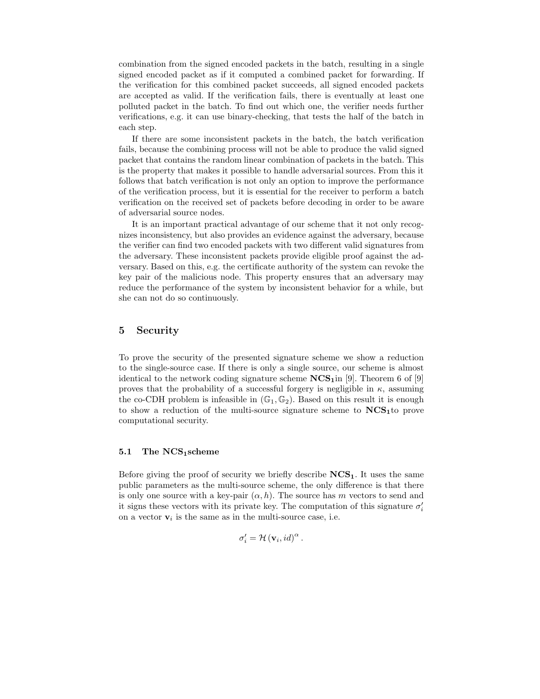combination from the signed encoded packets in the batch, resulting in a single signed encoded packet as if it computed a combined packet for forwarding. If the verification for this combined packet succeeds, all signed encoded packets are accepted as valid. If the verification fails, there is eventually at least one polluted packet in the batch. To find out which one, the verifier needs further verifications, e.g. it can use binary-checking, that tests the half of the batch in each step.

If there are some inconsistent packets in the batch, the batch verification fails, because the combining process will not be able to produce the valid signed packet that contains the random linear combination of packets in the batch. This is the property that makes it possible to handle adversarial sources. From this it follows that batch verification is not only an option to improve the performance of the verification process, but it is essential for the receiver to perform a batch verification on the received set of packets before decoding in order to be aware of adversarial source nodes.

It is an important practical advantage of our scheme that it not only recognizes inconsistency, but also provides an evidence against the adversary, because the verifier can find two encoded packets with two different valid signatures from the adversary. These inconsistent packets provide eligible proof against the adversary. Based on this, e.g. the certificate authority of the system can revoke the key pair of the malicious node. This property ensures that an adversary may reduce the performance of the system by inconsistent behavior for a while, but she can not do so continuously.

# 5 Security

To prove the security of the presented signature scheme we show a reduction to the single-source case. If there is only a single source, our scheme is almost identical to the network coding signature scheme  $NCS<sub>1</sub>$ in [9]. Theorem 6 of [9] proves that the probability of a successful forgery is negligible in  $\kappa$ , assuming the co-CDH problem is infeasible in  $(\mathbb{G}_1, \mathbb{G}_2)$ . Based on this result it is enough to show a reduction of the multi-source signature scheme to  $NCS<sub>1</sub>$  to prove computational security.

#### 5.1 The NCS1scheme

Before giving the proof of security we briefly describe  $NCS<sub>1</sub>$ . It uses the same public parameters as the multi-source scheme, the only difference is that there is only one source with a key-pair  $(\alpha, h)$ . The source has m vectors to send and it signs these vectors with its private key. The computation of this signature  $\sigma'_{i}$ on a vector  $v_i$  is the same as in the multi-source case, i.e.

$$
\sigma_{i}' = \mathcal{H}(\mathbf{v}_{i},id)^{\alpha}.
$$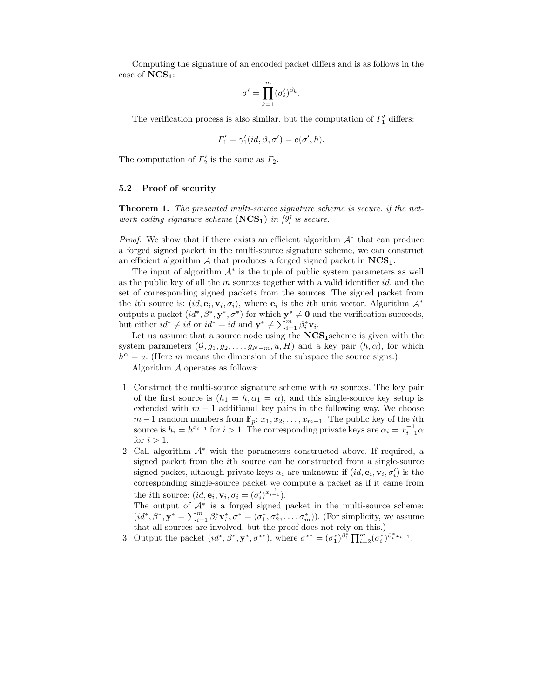Computing the signature of an encoded packet differs and is as follows in the case of  $NCS_1$ :

$$
\sigma' = \prod_{k=1}^m (\sigma'_i)^{\beta_k}.
$$

The verification process is also similar, but the computation of  $\Gamma'_1$  differs:

$$
\Gamma_1' = \gamma_1'(id, \beta, \sigma') = e(\sigma', h).
$$

The computation of  $\Gamma'_2$  is the same as  $\Gamma_2$ .

## 5.2 Proof of security

Theorem 1. The presented multi-source signature scheme is secure, if the network coding signature scheme  $(NCS_1)$  in [9] is secure.

*Proof.* We show that if there exists an efficient algorithm  $A^*$  that can produce a forged signed packet in the multi-source signature scheme, we can construct an efficient algorithm  $\mathcal A$  that produces a forged signed packet in  $NCS_1$ .

The input of algorithm  $A^*$  is the tuple of public system parameters as well as the public key of all the  $m$  sources together with a valid identifier  $id$ , and the set of corresponding signed packets from the sources. The signed packet from the *i*th source is:  $(id, e_i, v_i, \sigma_i)$ , where  $e_i$  is the *i*th unit vector. Algorithm  $\mathcal{A}^*$ outputs a packet  $(id^*, \beta^*, \mathbf{y}^*, \sigma^*)$  for which  $\mathbf{y}^* \neq \mathbf{0}$  and the verification succeeds, but either  $id^* \neq id$  or  $id^* = id$  and  $\mathbf{y}^* \neq \sum_{i=1}^m \beta_i^* \mathbf{v}_i$ .

Let us assume that a source node using the  $NCS<sub>1</sub>$ scheme is given with the system parameters  $(\mathcal{G}, q_1, q_2, \ldots, q_{N-m}, u, H)$  and a key pair  $(h, \alpha)$ , for which  $h^{\alpha} = u$ . (Here m means the dimension of the subspace the source signs.)

Algorithm A operates as follows:

- 1. Construct the multi-source signature scheme with  $m$  sources. The key pair of the first source is  $(h_1 = h, \alpha_1 = \alpha)$ , and this single-source key setup is extended with  $m-1$  additional key pairs in the following way. We choose  $m-1$  random numbers from  $\mathbb{F}_p$ :  $x_1, x_2, \ldots, x_{m-1}$ . The public key of the *i*th source is  $h_i = h^{x_{i-1}}$  for  $i > 1$ . The corresponding private keys are  $\alpha_i = x_{i-1}^{-1} \alpha$ for  $i > 1$ .
- 2. Call algorithm  $A^*$  with the parameters constructed above. If required, a signed packet from the ith source can be constructed from a single-source signed packet, although private keys  $\alpha_i$  are unknown: if  $(id, \mathbf{e}_i, \mathbf{v}_i, \sigma'_i)$  is the corresponding single-source packet we compute a packet as if it came from the *i*th source:  $(id, \mathbf{e}_i, \mathbf{v}_i, \sigma_i) = (\sigma'_i)^{x_{i-1}^{-1}}$ .

The output of  $A^*$  is a forged signed packet in the multi-source scheme:  $(id^*, \beta^*, \mathbf{y}^* = \sum_{i=1}^m \beta_i^* \mathbf{v}_i^*, \sigma^* = (\sigma_1^*, \sigma_2^*, \dots, \sigma_m^*)$ ). (For simplicity, we assume that all sources are involved, but the proof does not rely on this.)

3. Output the packet  $(id^*, \beta^*, \mathbf{y}^*, \sigma^{**})$ , where  $\sigma^{**} = (\sigma_1^*)^{\beta_1^*} \prod_{i=2}^m (\sigma_i^*)^{\beta_i^* x_{i-1}}$ .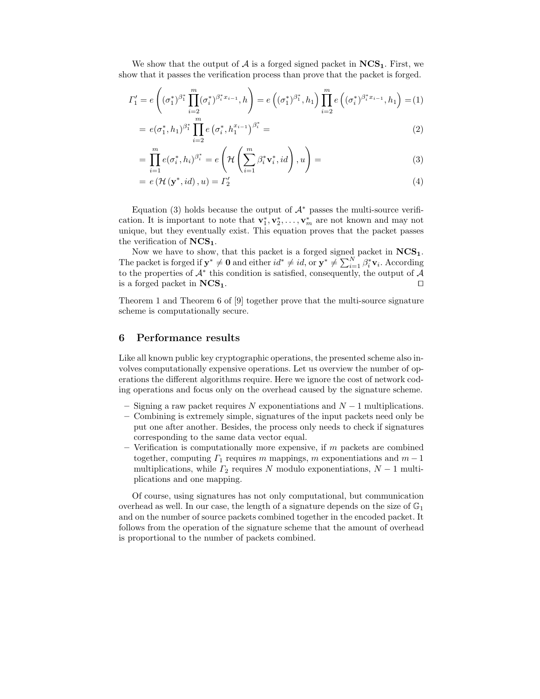We show that the output of  $A$  is a forged signed packet in  $NCS<sub>1</sub>$ . First, we show that it passes the verification process than prove that the packet is forged.

$$
\Gamma_1' = e\left((\sigma_1^*)^{\beta_1^*} \prod_{i=2}^m (\sigma_i^*)^{\beta_i^* x_{i-1}}, h\right) = e\left((\sigma_1^*)^{\beta_1^*}, h_1\right) \prod_{i=2}^m e\left((\sigma_i^*)^{\beta_i^* x_{i-1}}, h_1\right) = (1)
$$

$$
= e(\sigma_1^*, h_1)^{\beta_1^*} \prod_{i=2}^m e(\sigma_i^*, h_1^{x_{i-1}})^{\beta_i^*} =
$$
\n(2)

$$
= \prod_{i=1}^{m} e(\sigma_i^*, h_i)^{\beta_i^*} = e\left(\mathcal{H}\left(\sum_{i=1}^{m} \beta_i^* \mathbf{v}_i^*, id\right), u\right) =
$$
\n(3)

$$
= e\left(\mathcal{H}\left(\mathbf{y}^*, id\right), u\right) = \Gamma_2' \tag{4}
$$

Equation (3) holds because the output of  $A^*$  passes the multi-source verification. It is important to note that  $\mathbf{v}_1^*, \mathbf{v}_2^*, \ldots, \mathbf{v}_m^*$  are not known and may not unique, but they eventually exist. This equation proves that the packet passes the verification of  $NCS<sub>1</sub>$ .

Now we have to show, that this packet is a forged signed packet in  $\mathbf{NCS_{1}}.$ The packet is forged if  $\mathbf{y}^* \neq \mathbf{0}$  and either  $id^* \neq id$ , or  $\mathbf{y}^* \neq \sum_{i=1}^N \beta_i^* \mathbf{v}_i$ . According to the properties of  $\mathcal{A}^*$  this condition is satisfied, consequently, the output of  $\mathcal{A}$ is a forged packet in  $NCS_1$ . □

Theorem 1 and Theorem 6 of [9] together prove that the multi-source signature scheme is computationally secure.

## 6 Performance results

Like all known public key cryptographic operations, the presented scheme also involves computationally expensive operations. Let us overview the number of operations the different algorithms require. Here we ignore the cost of network coding operations and focus only on the overhead caused by the signature scheme.

- Signing a raw packet requires N exponentiations and  $N-1$  multiplications.
- Combining is extremely simple, signatures of the input packets need only be put one after another. Besides, the process only needs to check if signatures corresponding to the same data vector equal.
- $-$  Verification is computationally more expensive, if  $m$  packets are combined together, computing  $\Gamma_1$  requires m mappings, m exponentiations and  $m-1$ multiplications, while  $\Gamma_2$  requires N modulo exponentiations,  $N-1$  multiplications and one mapping.

Of course, using signatures has not only computational, but communication overhead as well. In our case, the length of a signature depends on the size of  $\mathbb{G}_1$ and on the number of source packets combined together in the encoded packet. It follows from the operation of the signature scheme that the amount of overhead is proportional to the number of packets combined.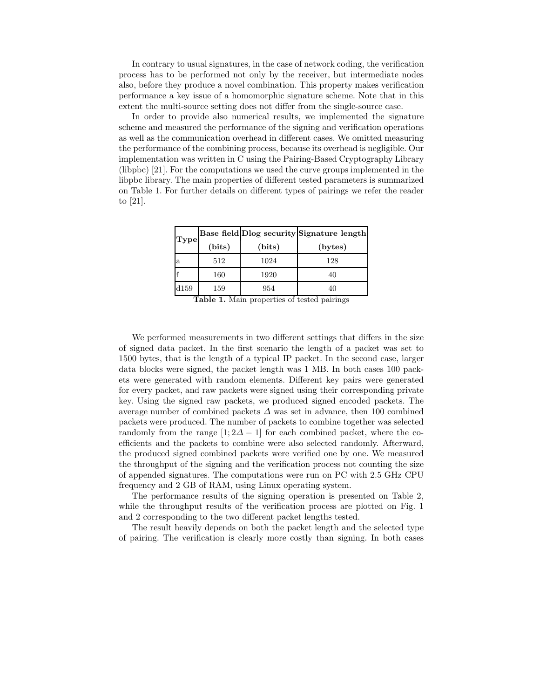In contrary to usual signatures, in the case of network coding, the verification process has to be performed not only by the receiver, but intermediate nodes also, before they produce a novel combination. This property makes verification performance a key issue of a homomorphic signature scheme. Note that in this extent the multi-source setting does not differ from the single-source case.

In order to provide also numerical results, we implemented the signature scheme and measured the performance of the signing and verification operations as well as the communication overhead in different cases. We omitted measuring the performance of the combining process, because its overhead is negligible. Our implementation was written in C using the Pairing-Based Cryptography Library (libpbc) [21]. For the computations we used the curve groups implemented in the libpbc library. The main properties of different tested parameters is summarized on Table 1. For further details on different types of pairings we refer the reader to [21].

| <b>Type</b> |        |        | Base field Dlog security Signature length |  |
|-------------|--------|--------|-------------------------------------------|--|
|             | (bits) | (bits) | (bytes)                                   |  |
| a           | 512    | 1024   | 128                                       |  |
|             | 160    | 1920   | 40                                        |  |
| d159        | 159    | 954    |                                           |  |

Table 1. Main properties of tested pairings

We performed measurements in two different settings that differs in the size of signed data packet. In the first scenario the length of a packet was set to 1500 bytes, that is the length of a typical IP packet. In the second case, larger data blocks were signed, the packet length was 1 MB. In both cases 100 packets were generated with random elements. Different key pairs were generated for every packet, and raw packets were signed using their corresponding private key. Using the signed raw packets, we produced signed encoded packets. The average number of combined packets  $\Delta$  was set in advance, then 100 combined packets were produced. The number of packets to combine together was selected randomly from the range  $[1; 2\Delta - 1]$  for each combined packet, where the coefficients and the packets to combine were also selected randomly. Afterward, the produced signed combined packets were verified one by one. We measured the throughput of the signing and the verification process not counting the size of appended signatures. The computations were run on PC with 2.5 GHz CPU frequency and 2 GB of RAM, using Linux operating system.

The performance results of the signing operation is presented on Table 2, while the throughput results of the verification process are plotted on Fig. 1 and 2 corresponding to the two different packet lengths tested.

The result heavily depends on both the packet length and the selected type of pairing. The verification is clearly more costly than signing. In both cases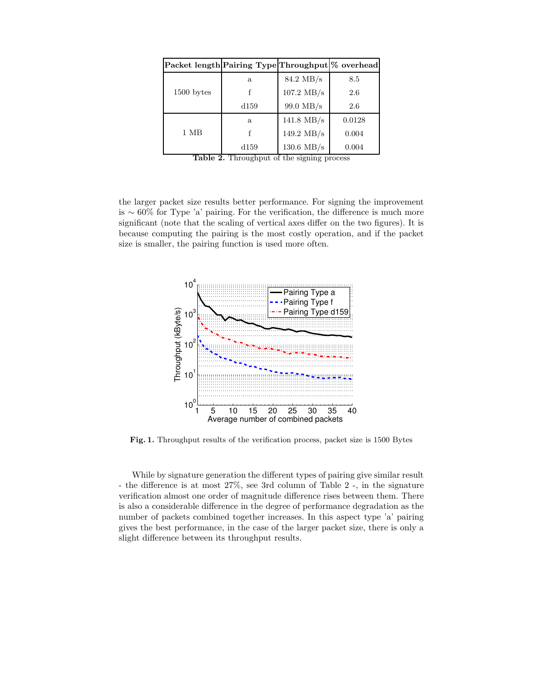| Packet length Pairing Type Throughput \% overhead |      |                      |        |
|---------------------------------------------------|------|----------------------|--------|
|                                                   | a    | 84.2 MB/s            | 8.5    |
| 1500 bytes                                        |      | $107.2$ MB/s         | 2.6    |
|                                                   | d159 | 99.0 MB/s            | 2.6    |
|                                                   | a    | $141.8 \text{ MB/s}$ | 0.0128 |
| $1 \text{ MB}$                                    |      | 149.2 $MB/s$         | 0.004  |
|                                                   | d159 | $130.6$ MB/s         | 0.004  |

|  | <b>Table 2.</b> Throughput of the signing process |  |  |  |
|--|---------------------------------------------------|--|--|--|
|--|---------------------------------------------------|--|--|--|

the larger packet size results better performance. For signing the improvement is ∼ 60% for Type 'a' pairing. For the verification, the difference is much more significant (note that the scaling of vertical axes differ on the two figures). It is because computing the pairing is the most costly operation, and if the packet size is smaller, the pairing function is used more often.



Fig. 1. Throughput results of the verification process, packet size is 1500 Bytes

While by signature generation the different types of pairing give similar result - the difference is at most 27%, see 3rd column of Table 2 -, in the signature verification almost one order of magnitude difference rises between them. There is also a considerable difference in the degree of performance degradation as the number of packets combined together increases. In this aspect type 'a' pairing gives the best performance, in the case of the larger packet size, there is only a slight difference between its throughput results.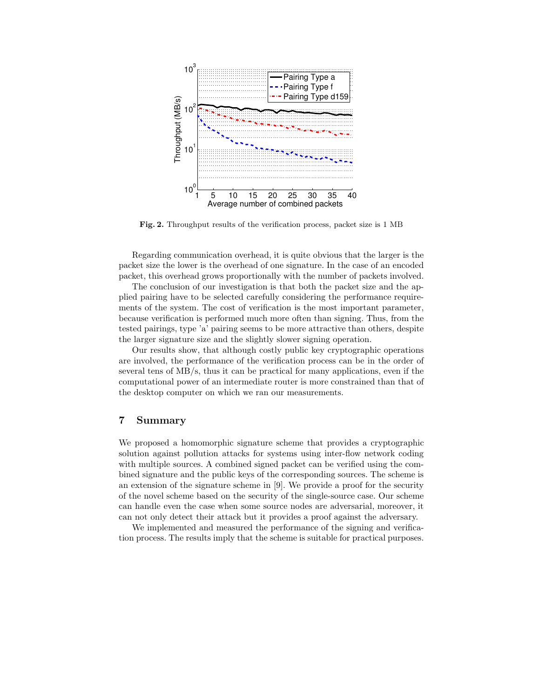

Fig. 2. Throughput results of the verification process, packet size is 1 MB

Regarding communication overhead, it is quite obvious that the larger is the packet size the lower is the overhead of one signature. In the case of an encoded packet, this overhead grows proportionally with the number of packets involved.

The conclusion of our investigation is that both the packet size and the applied pairing have to be selected carefully considering the performance requirements of the system. The cost of verification is the most important parameter, because verification is performed much more often than signing. Thus, from the tested pairings, type 'a' pairing seems to be more attractive than others, despite the larger signature size and the slightly slower signing operation.

Our results show, that although costly public key cryptographic operations are involved, the performance of the verification process can be in the order of several tens of MB/s, thus it can be practical for many applications, even if the computational power of an intermediate router is more constrained than that of the desktop computer on which we ran our measurements.

# 7 Summary

We proposed a homomorphic signature scheme that provides a cryptographic solution against pollution attacks for systems using inter-flow network coding with multiple sources. A combined signed packet can be verified using the combined signature and the public keys of the corresponding sources. The scheme is an extension of the signature scheme in [9]. We provide a proof for the security of the novel scheme based on the security of the single-source case. Our scheme can handle even the case when some source nodes are adversarial, moreover, it can not only detect their attack but it provides a proof against the adversary.

We implemented and measured the performance of the signing and verification process. The results imply that the scheme is suitable for practical purposes.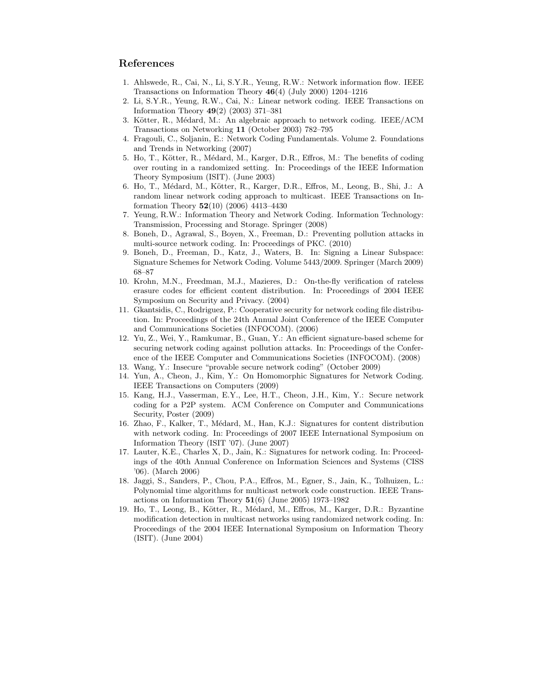# References

- 1. Ahlswede, R., Cai, N., Li, S.Y.R., Yeung, R.W.: Network information flow. IEEE Transactions on Information Theory  $46(4)$  (July 2000) 1204–1216
- 2. Li, S.Y.R., Yeung, R.W., Cai, N.: Linear network coding. IEEE Transactions on Information Theory 49(2) (2003) 371–381
- 3. Kötter, R., Médard, M.: An algebraic approach to network coding. IEEE/ACM Transactions on Networking 11 (October 2003) 782–795
- 4. Fragouli, C., Soljanin, E.: Network Coding Fundamentals. Volume 2. Foundations and Trends in Networking (2007)
- 5. Ho, T., Kötter, R., Médard, M., Karger, D.R., Effros, M.: The benefits of coding over routing in a randomized setting. In: Proceedings of the IEEE Information Theory Symposium (ISIT). (June 2003)
- 6. Ho, T., Médard, M., Kötter, R., Karger, D.R., Effros, M., Leong, B., Shi, J.: A random linear network coding approach to multicast. IEEE Transactions on Information Theory 52(10) (2006) 4413–4430
- 7. Yeung, R.W.: Information Theory and Network Coding. Information Technology: Transmission, Processing and Storage. Springer (2008)
- 8. Boneh, D., Agrawal, S., Boyen, X., Freeman, D.: Preventing pollution attacks in multi-source network coding. In: Proceedings of PKC. (2010)
- 9. Boneh, D., Freeman, D., Katz, J., Waters, B. In: Signing a Linear Subspace: Signature Schemes for Network Coding. Volume 5443/2009. Springer (March 2009) 68–87
- 10. Krohn, M.N., Freedman, M.J., Mazieres, D.: On-the-fly verification of rateless erasure codes for efficient content distribution. In: Proceedings of 2004 IEEE Symposium on Security and Privacy. (2004)
- 11. Gkantsidis, C., Rodriguez, P.: Cooperative security for network coding file distribution. In: Proceedings of the 24th Annual Joint Conference of the IEEE Computer and Communications Societies (INFOCOM). (2006)
- 12. Yu, Z., Wei, Y., Ramkumar, B., Guan, Y.: An efficient signature-based scheme for securing network coding against pollution attacks. In: Proceedings of the Conference of the IEEE Computer and Communications Societies (INFOCOM). (2008)
- 13. Wang, Y.: Insecure "provable secure network coding" (October 2009)
- 14. Yun, A., Cheon, J., Kim, Y.: On Homomorphic Signatures for Network Coding. IEEE Transactions on Computers (2009)
- 15. Kang, H.J., Vasserman, E.Y., Lee, H.T., Cheon, J.H., Kim, Y.: Secure network coding for a P2P system. ACM Conference on Computer and Communications Security, Poster (2009)
- 16. Zhao, F., Kalker, T., Médard, M., Han, K.J.: Signatures for content distribution with network coding. In: Proceedings of 2007 IEEE International Symposium on Information Theory (ISIT '07). (June 2007)
- 17. Lauter, K.E., Charles X, D., Jain, K.: Signatures for network coding. In: Proceedings of the 40th Annual Conference on Information Sciences and Systems (CISS '06). (March 2006)
- 18. Jaggi, S., Sanders, P., Chou, P.A., Effros, M., Egner, S., Jain, K., Tolhuizen, L.: Polynomial time algorithms for multicast network code construction. IEEE Transactions on Information Theory  $51(6)$  (June 2005) 1973–1982
- 19. Ho, T., Leong, B., Kötter, R., Médard, M., Effros, M., Karger, D.R.: Byzantine modification detection in multicast networks using randomized network coding. In: Proceedings of the 2004 IEEE International Symposium on Information Theory (ISIT). (June 2004)